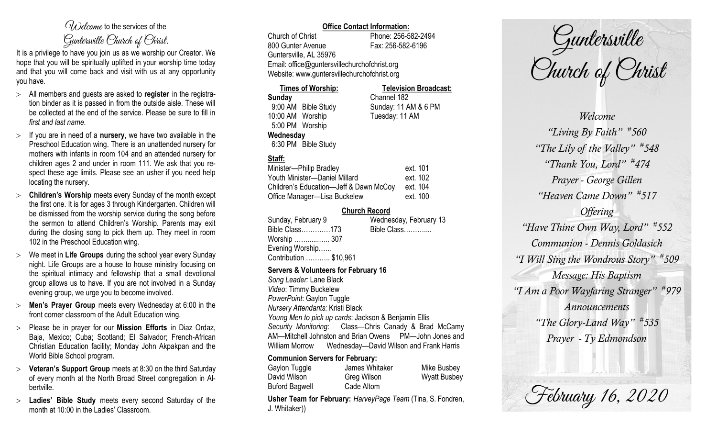# $\mathcal{O}_{\lambda}$  decame to the services of the Guntersville Church of Christ.

It is a privilege to have you join us as we worship our Creator. We hope that you will be spiritually uplifted in your worship time today and that you will come back and visit with us at any opportunity you have.

- All members and guests are asked to **register** in the registration binder as it is passed in from the outside aisle. These will be collected at the end of the service. Please be sure to fill in *first and last name*.
- $>$  If you are in need of a **nursery**, we have two available in the Preschool Education wing. There is an unattended nursery for mothers with infants in room 104 and an attended nursery for children ages 2 and under in room 111. We ask that you respect these age limits. Please see an usher if you need help locating the nursery.
- **Children's Worship** meets every Sunday of the month except the first one. It is for ages 3 through Kindergarten. Children will be dismissed from the worship service during the song before the sermon to attend Children's Worship. Parents may exit during the closing song to pick them up. They meet in room 102 in the Preschool Education wing.
- We meet in **Life Groups** during the school year every Sunday night. Life Groups are a house to house ministry focusing on the spiritual intimacy and fellowship that a small devotional group allows us to have. If you are not involved in a Sunday evening group, we urge you to become involved.
- **Men's Prayer Group** meets every Wednesday at 6:00 in the front corner classroom of the Adult Education wing.
- Please be in prayer for our **Mission Efforts** in Diaz Ordaz, Baja, Mexico; Cuba; Scotland; El Salvador; French-African Christian Education facility; Monday John Akpakpan and the World Bible School program.
- **Veteran's Support Group** meets at 8:30 on the third Saturday of every month at the North Broad Street congregation in Albertville.
- **Ladies' Bible Study** meets every second Saturday of the month at 10:00 in the Ladies' Classroom.

## **Office Contact Information:**

Church of Christ Phone: 256-582-2494 800 Gunter Avenue Fax: 256-582-6196 Guntersville, AL 35976 Email: office@guntersvillechurchofchrist.org Website: www.guntersvillechurchofchrist.org

**Times of Worship: Television Broadcast: Sunday** Channel 182

9:00 AM Bible Study Sunday: 11 AM & 6 PM 10:00 AM Worship Tuesday: 11 AM 5:00 PM Worship **Wednesday** 6:30 PM Bible Study

# **Staff:**

| Minister-Philip Bradley                | ext. 101 |
|----------------------------------------|----------|
| Youth Minister-Daniel Millard          | ext. 102 |
| Children's Education-Jeff & Dawn McCoy | ext. 104 |
| Office Manager-Lisa Buckelew           | ext. 100 |

### **Church Record**

| Sunday, February 9     | Wednesday, February 13 |
|------------------------|------------------------|
| Bible Class173         | Bible Class            |
| Worship  307           |                        |
| Evening Worship        |                        |
| Contribution  \$10,961 |                        |
|                        |                        |

#### **Servers & Volunteers for February 16**

*Song Leader:* Lane Black *Video*: Timmy Buckelew *PowerPoint*: Gaylon Tuggle *Nursery Attendants:* Kristi Black *Young Men to pick up cards*: Jackson & Benjamin Ellis *Security Monitoring*: Class—Chris Canady & Brad McCamy AM—Mitchell Johnston and Brian Owens PM—John Jones and William Morrow Wednesday—David Wilson and Frank Harris

#### **Communion Servers for February:**

| Gaylon Tuggle         | James Whitaker | Mike Busbey         |
|-----------------------|----------------|---------------------|
| David Wilson          | Greg Wilson    | <b>Wyatt Busbey</b> |
| <b>Buford Bagwell</b> | Cade Altom     |                     |

**Usher Team for February:** *HarveyPage Team* (Tina, S. Fondren, J. Whitaker))

Guntersville<br>Church of Christ

*Welcome "Living By Faith" # 560 "The Lily of the Valley" # 548 "Thank You, Lord" # 474 Prayer - George Gillen "Heaven Came Down" # 517 Offering "Have Thine Own Way, Lord" # 552 Communion - Dennis Goldasich "I Will Sing the Wondrous Story" # 509 Message: His Baptism "I Am a Poor Wayfaring Stranger" # 979 Announcements "The Glory-Land Way" # 535 Prayer - Ty Edmondson*

February 16, 2020